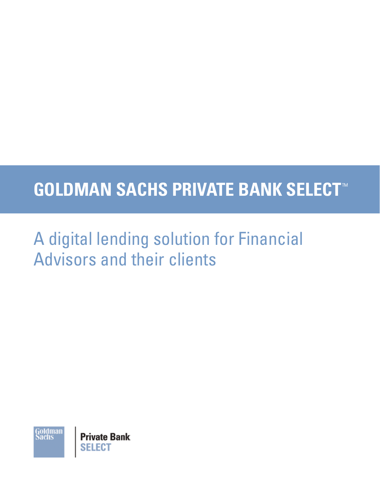# **GOLDMAN SACHS PRIVATE BANK SELECT**™

## A digital lending solution for Financial Advisors and their clients

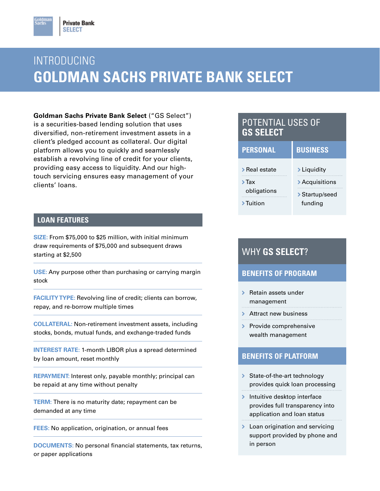### INTRODUCING **GOLDMAN SACHS PRIVATE BANK SELECT**

**Goldman Sachs Private Bank Select** ("GS Select") is a securities-based lending solution that uses diversified, non-retirement investment assets in a client's pledged account as collateral. Our digital platform allows you to quickly and seamlessly establish a revolving line of credit for your clients, providing easy access to liquidity. And our hightouch servicing ensures easy management of your clients' loans.

#### **LOAN FEATURES**

**SIZE:** From \$75,000 to \$25 million, with initial minimum draw requirements of \$75,000 and subsequent draws starting at \$2,500

**USE:** Any purpose other than purchasing or carrying margin stock

**FACILITY TYPE:** Revolving line of credit; clients can borrow, repay, and re-borrow multiple times

**COLLATERAL:** Non-retirement investment assets, including stocks, bonds, mutual funds, and exchange-traded funds

**INTEREST RATE:** 1-month LIBOR plus a spread determined by loan amount, reset monthly

**REPAYMENT:** Interest only, payable monthly; principal can be repaid at any time without penalty

**TERM:** There is no maturity date; repayment can be demanded at any time

**FEES:** No application, origination, or annual fees

**DOCUMENTS:** No personal financial statements, tax returns, or paper applications

#### POTENTIAL USES OF **GS SELECT**

| <b>PERSONAL</b>           | <b>BUSINESS</b>                  |
|---------------------------|----------------------------------|
| > Real estate             | > Liquidity                      |
| $\sum$ Tax<br>obligations | > Acquisitions<br>> Startup/seed |
| $\sum$ Tuition            | funding                          |

#### WHY **GS SELECT**?

#### **BENEFITS OF PROGRAM**

 $\triangleright$  Retain assets under management

> Attract new business

 $\triangleright$  Provide comprehensive wealth management

#### **BENEFITS OF PLATFORM**

- State-of-the-art technology provides quick loan processing
- $\blacktriangleright$  Intuitive desktop interface provides full transparency into application and loan status
- > Loan origination and servicing support provided by phone and in person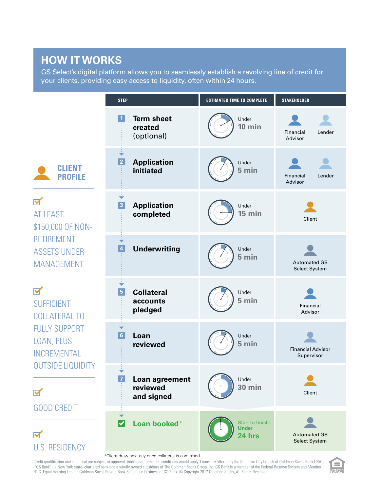### **HOW IT WORKS**

GS Select's digital platform allows you to seamlessly establish a revolving line of credit for your clients, providing easy access to liquidity, often within 24 hours.



Credit qualification and collateral are subject to approval. Additional terms and conditions would apply. Loans are offered by the Salt Lake City branch of Goldman Sachs Bank USA ("GS Bank"), a New York state–chartered bank and a wholly owned subsidiary of The Goldman Sachs Group, Inc. GS Bank is a member of the Federal Reserve System and Member FDIC. Equal Housing Lender. Goldman Sachs Private Bank Select is a business of GS Bank. © Copyright 2017 Goldman Sachs, All Rights Reserved.